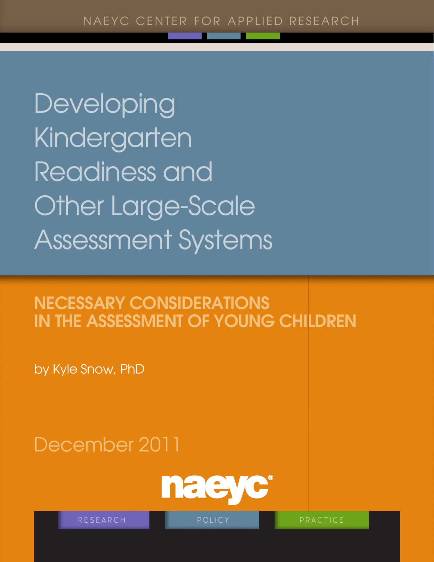Developing **Kindergarten** Readiness and Other Large-Scale Assessment Systems

# Necessary Considerations in the Assessment of Young Children

by Kyle Snow, PhD

# December 2011



RESEARCH **policy** policy **product** practice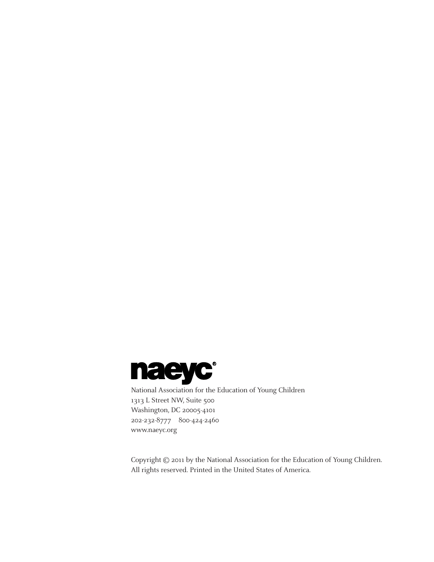

[National Association for the E](http://www.naeyc.org)ducation of Young Children 1313 L Street NW, Suite 500 Washington, DC 20005-4101 202-232-8777 800-424-2460 <www.naeyc.org>

Copyright © 2011 by the National Association for the Education of Young Children. All rights reserved. Printed in the United States of America.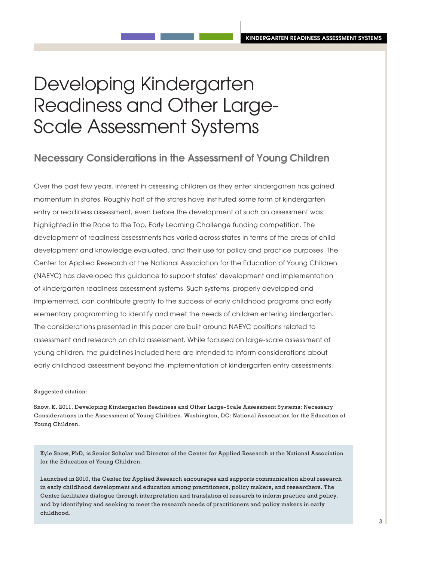# Developing Kindergarten Readiness and Other Large-Scale Assessment Systems

# Necessary Considerations in the Assessment of Young Children

Over the past few years, interest in assessing children as they enter kindergarten has gained momentum in states. Roughly half of the states have instituted some form of kindergarten entry or readiness assessment, even before the development of such an assessment was highlighted in the Race to the Top, Early Learning Challenge funding competition. The development of readiness assessments has varied across states in terms of the areas of child development and knowledge evaluated, and their use for policy and practice purposes. The Center for Applied Research at the National Association for the Education of Young Children (NAEYC) has developed this guidance to support states' development and implementation of kindergarten readiness assessment systems. Such systems, properly developed and implemented, can contribute greatly to the success of early childhood programs and early elementary programming to identify and meet the needs of children entering kindergarten. The considerations presented in this paper are built around NAEYC positions related to assessment and research on child assessment. While focused on large-scale assessment of young children, the guidelines included here are intended to inform considerations about early childhood assessment beyond the implementation of kindergarten entry assessments.

#### Suggested citation:

Snow, K. 2011. Developing Kindergarten Readiness and Other Large-Scale Assessment Systems: Necessary Considerations in the Assessment of Young Children. Washington, DC: National Association for the Education of Young Children.

Kyle Snow, PhD, is Senior Scholar and Director of the Center for Applied Research at the National Association for the Education of Young Children.

Launched in 2010, the Center for Applied Research encourages and supports communication about research in early childhood development and education among practitioners, policy makers, and researchers. The Center facilitates dialogue through interpretation and translation of research to inform practice and policy, and by identifying and seeking to meet the research needs of practitioners and policy makers in early childhood.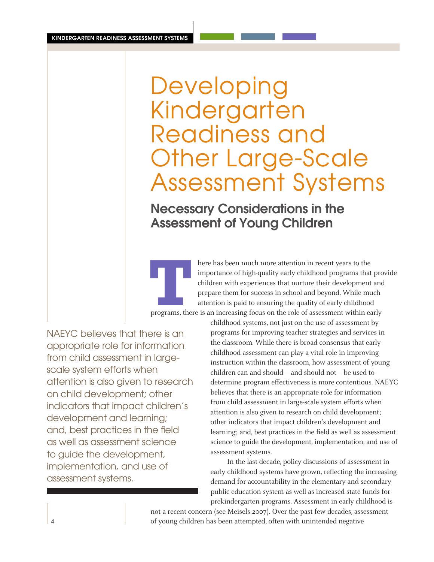# Developing Kindergarten Readiness and Other Large-Scale Assessment Systems

Necessary Considerations in the Assessment of Young Children

**THERE ISSNER ISSNER ISSNER ISSNER ISLEND THEORY OF CHIRD ISLAM ISLAM TO CHIRD CHIRD CHIRD CHIRD TO CHIRD THEORY OF CHIRD THEORY OF CHIRD ATTENTION ISLAM TO THEORY OF CHIRD ATTENTION ISLAM TO THEORY OF A SEP AND A THEORY O** importance of high-quality early childhood programs that provide children with experiences that nurture their development and prepare them for success in school and beyond. While much attention is paid to ensuring the quality of early childhood

NAEYC believes that there is an appropriate role for information from child assessment in largescale system efforts when attention is also given to research on child development; other indicators that impact children's development and learning; and, best practices in the field as well as assessment science to guide the development, implementation, and use of assessment systems.

childhood systems, not just on the use of assessment by programs for improving teacher strategies and services in the classroom. While there is broad consensus that early childhood assessment can play a vital role in improving instruction within the classroom, how assessment of young children can and should—and should not—be used to determine program effectiveness is more contentious. NAEYC believes that there is an appropriate role for information from child assessment in large-scale system efforts when attention is also given to research on child development; other indicators that impact children's development and learning; and, best practices in the field as well as assessment science to guide the development, implementation, and use of assessment systems.

In the last decade, policy discussions of assessment in early childhood systems have grown, reflecting the increasing demand for accountability in the elementary and secondary public education system as well as increased state funds for prekindergarten programs. Assessment in early childhood is

not a recent concern (see Meisels 2007). Over the past few decades, assessment of young children has been attempted, often with unintended negative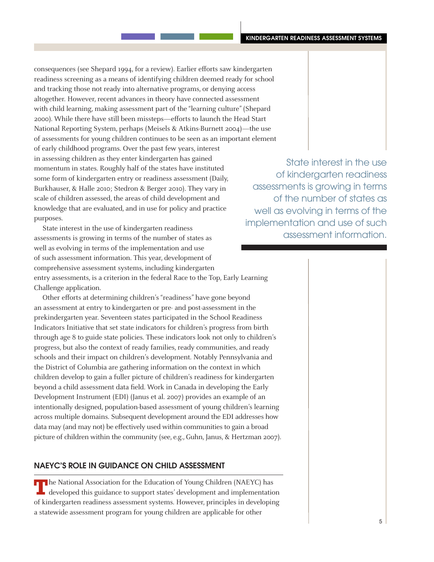consequences (see Shepard 1994, for a review). Earlier efforts saw kindergarten readiness screening as a means of identifying children deemed ready for school and tracking those not ready into alternative programs, or denying access altogether. However, recent advances in theory have connected assessment with child learning, making assessment part of the "learning culture" (Shepard 2000). While there have still been missteps—efforts to launch the Head Start National Reporting System, perhaps (Meisels & Atkins-Burnett 2004)—the use of assessments for young children continues to be seen as an important element of early childhood programs. Over the past few years, interest in assessing children as they enter kindergarten has gained momentum in states. Roughly half of the states have instituted some form of kindergarten entry or readiness assessment (Daily, Burkhauser, & Halle 2010; Stedron & Berger 2010). They vary in scale of children assessed, the areas of child development and knowledge that are evaluated, and in use for policy and practice purposes.

State interest in the use of kindergarten readiness assessments is growing in terms of the number of states as well as evolving in terms of the implementation and use of such assessment information. This year, development of comprehensive assessment systems, including kindergarten entry assessments, is a criterion in the federal Race to the Top, Early Learning Challenge application.

Other efforts at determining children's "readiness" have gone beyond an assessment at entry to kindergarten or pre- and post-assessment in the prekindergarten year. Seventeen states participated in the School Readiness Indicators Initiative that set state indicators for children's progress from birth through age 8 to guide state policies. These indicators look not only to children's progress, but also the context of ready families, ready communities, and ready schools and their impact on children's development. Notably Pennsylvania and the District of Columbia are gathering information on the context in which children develop to gain a fuller picture of children's readiness for kindergarten beyond a child assessment data field. Work in Canada in developing the Early Development Instrument (EDI) (Janus et al. 2007) provides an example of an intentionally designed, population-based assessment of young children's learning across multiple domains. Subsequent development around the EDI addresses how data may (and may not) be effectively used within communities to gain a broad picture of children within the community (see, e.g., Guhn, Janus, & Hertzman 2007).

# NAEYC's Role in Guidance on Child Assessment

TT he National Association for the Education of Young Children (NAEYC) has developed this guidance to support states' development and implementation of kindergarten readiness assessment systems. However, principles in developing a statewide assessment program for young children are applicable for other

State interest in the use of kindergarten readiness assessments is growing in terms of the number of states as well as evolving in terms of the implementation and use of such assessment information.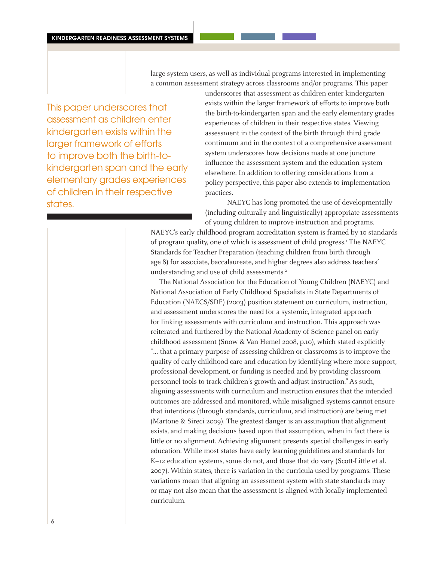large-system users, as well as individual programs interested in implementing a common assessment strategy across classrooms and/or programs. This paper

This paper underscores that assessment as children enter kindergarten exists within the larger framework of efforts to improve both the birth-tokindergarten span and the early elementary grades experiences of children in their respective states.

underscores that assessment as children enter kindergarten exists within the larger framework of efforts to improve both the birth-to-kindergarten span and the early elementary grades experiences of children in their respective states. Viewing assessment in the context of the birth through third grade continuum and in the context of a comprehensive assessment system underscores how decisions made at one juncture influence the assessment system and the education system elsewhere. In addition to offering considerations from a policy perspective, this paper also extends to implementation practices.

NAEYC has long promoted the use of developmentally (including culturally and linguistically) appropriate assessments of young children to improve instruction and programs.

NAEYC's early childhood program accreditation system is framed by 10 standards of program quality, one of which is assessment of child progress.<sup>1</sup> The NAEYC Standards for Teacher Preparation (teaching children from birth through age 8) for associate, baccalaureate, and higher degrees also address teachers' understanding and use of child assessments.<sup>2</sup>

The National Association for the Education of Young Children (NAEYC) and National Association of Early Childhood Specialists in State Departments of Education (NAECS/SDE) (2003) position statement on curriculum, instruction, and assessment underscores the need for a systemic, integrated approach for linking assessments with curriculum and instruction. This approach was reiterated and furthered by the National Academy of Science panel on early childhood assessment (Snow & Van Hemel 2008, p.10), which stated explicitly "… that a primary purpose of assessing children or classrooms is to improve the quality of early childhood care and education by identifying where more support, professional development, or funding is needed and by providing classroom personnel tools to track children's growth and adjust instruction." As such, aligning assessments with curriculum and instruction ensures that the intended outcomes are addressed and monitored, while misaligned systems cannot ensure that intentions (through standards, curriculum, and instruction) are being met (Martone & Sireci 2009). The greatest danger is an assumption that alignment exists, and making decisions based upon that assumption, when in fact there is little or no alignment. Achieving alignment presents special challenges in early education. While most states have early learning guidelines and standards for K–12 education systems, some do not, and those that do vary (Scott-Little et al. 2007). Within states, there is variation in the curricula used by programs. These variations mean that aligning an assessment system with state standards may or may not also mean that the assessment is aligned with locally implemented curriculum.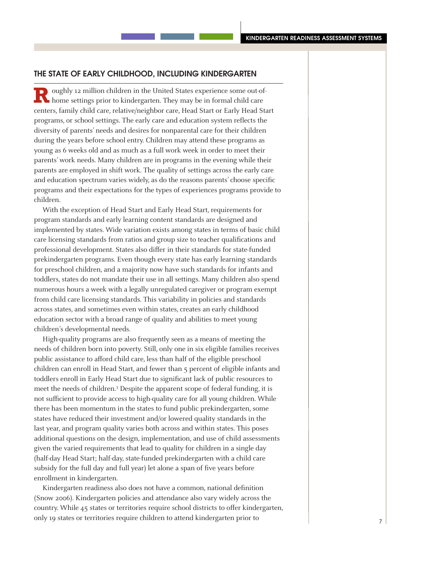#### The State of Early Childhood, Including Kindergarten

**Roughly 12 million children in the United States experience some out-of-<br>home settings prior to kindergarten. They may be in formal child care** centers, family child care, relative/neighbor care, Head Start or Early Head Start programs, or school settings. The early care and education system reflects the diversity of parents' needs and desires for nonparental care for their children during the years before school entry. Children may attend these programs as young as 6 weeks old and as much as a full work week in order to meet their parents' work needs. Many children are in programs in the evening while their parents are employed in shift work. The quality of settings across the early care and education spectrum varies widely, as do the reasons parents' choose specific programs and their expectations for the types of experiences programs provide to children.

With the exception of Head Start and Early Head Start, requirements for program standards and early learning content standards are designed and implemented by states. Wide variation exists among states in terms of basic child care licensing standards from ratios and group size to teacher qualifications and professional development. States also differ in their standards for state-funded prekindergarten programs. Even though every state has early learning standards for preschool children, and a majority now have such standards for infants and toddlers, states do not mandate their use in all settings. Many children also spend numerous hours a week with a legally unregulated caregiver or program exempt from child care licensing standards. This variability in policies and standards across states, and sometimes even within states, creates an early childhood education sector with a broad range of quality and abilities to meet young children's developmental needs.

High-quality programs are also frequently seen as a means of meeting the needs of children born into poverty. Still, only one in six eligible families receives public assistance to afford child care, less than half of the eligible preschool children can enroll in Head Start, and fewer than 5 percent of eligible infants and toddlers enroll in Early Head Start due to significant lack of public resources to meet the needs of children.<sup>3</sup> Despite the apparent scope of federal funding, it is not sufficient to provide access to high-quality care for all young children. While there has been momentum in the states to fund public prekindergarten, some states have reduced their investment and/or lowered quality standards in the last year, and program quality varies both across and within states. This poses additional questions on the design, implementation, and use of child assessments given the varied requirements that lead to quality for children in a single day (half-day Head Start; half-day, state-funded prekindergarten with a child care subsidy for the full day and full year) let alone a span of five years before enrollment in kindergarten.

Kindergarten readiness also does not have a common, national definition (Snow 2006). Kindergarten policies and attendance also vary widely across the country. While 45 states or territories require school districts to offer kindergarten, only 19 states or territories require children to attend kindergarten prior to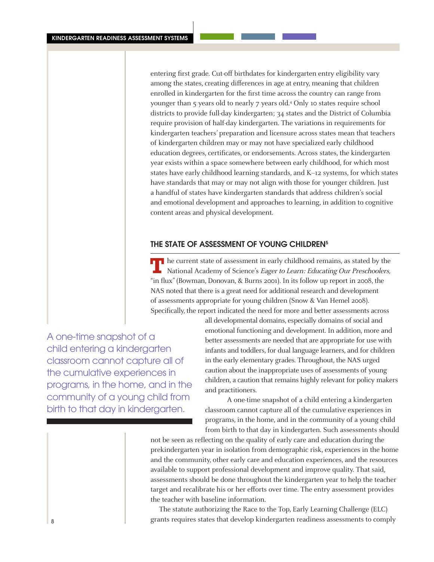entering first grade. Cut-off birthdates for kindergarten entry eligibility vary among the states, creating differences in age at entry, meaning that children enrolled in kindergarten for the first time across the country can range from younger than 5 years old to nearly 7 years old.4 Only 10 states require school districts to provide full-day kindergarten; 34 states and the District of Columbia require provision of half-day kindergarten. The variations in requirements for kindergarten teachers' preparation and licensure across states mean that teachers of kindergarten children may or may not have specialized early childhood education degrees, certificates, or endorsements. Across states, the kindergarten year exists within a space somewhere between early childhood, for which most states have early childhood learning standards, and K–12 systems, for which states have standards that may or may not align with those for younger children. Just a handful of states have kindergarten standards that address children's social and emotional development and approaches to learning, in addition to cognitive content areas and physical development.

## THE STATE OF ASSESSMENT OF YOUNG CHILDREN<sup>5</sup>

**T**he current state of assessment in early childhood remains, as stated by the National Academy of Science's *Eager to Learn: Educating Our Preschoolers*, "in flux" (Bowman, Donovan, & Burns 2001). In its follow up report in 2008, the NAS noted that there is a great need for additional research and development of assessments appropriate for young children (Snow & Van Hemel 2008). Specifically, the report indicated the need for more and better assessments across

A one-time snapshot of a child entering a kindergarten classroom cannot capture all of the cumulative experiences in programs, in the home, and in the community of a young child from birth to that day in kindergarten.

all developmental domains, especially domains of social and emotional functioning and development. In addition, more and better assessments are needed that are appropriate for use with infants and toddlers, for dual language learners, and for children in the early elementary grades. Throughout, the NAS urged caution about the inappropriate uses of assessments of young children, a caution that remains highly relevant for policy makers and practitioners.

A one-time snapshot of a child entering a kindergarten classroom cannot capture all of the cumulative experiences in programs, in the home, and in the community of a young child from birth to that day in kindergarten. Such assessments should

not be seen as reflecting on the quality of early care and education during the prekindergarten year in isolation from demographic risk, experiences in the home and the community, other early care and education experiences, and the resources available to support professional development and improve quality. That said, assessments should be done throughout the kindergarten year to help the teacher target and recalibrate his or her efforts over time. The entry assessment provides the teacher with baseline information.

The statute authorizing the Race to the Top, Early Learning Challenge (ELC) grants requires states that develop kindergarten readiness assessments to comply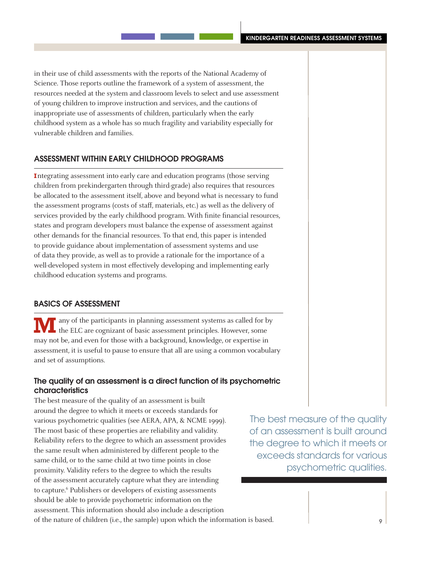in their use of child assessments with the reports of the National Academy of Science. Those reports outline the framework of a system of assessment, the resources needed at the system and classroom levels to select and use assessment of young children to improve instruction and services, and the cautions of inappropriate use of assessments of children, particularly when the early childhood system as a whole has so much fragility and variability especially for vulnerable children and families.

## Assessment Within Early Childhood Programs

**I**ntegrating assessment into early care and education programs (those serving children from prekindergarten through third-grade) also requires that resources be allocated to the assessment itself, above and beyond what is necessary to fund the assessment programs (costs of staff, materials, etc.) as well as the delivery of services provided by the early childhood program. With finite financial resources, states and program developers must balance the expense of assessment against other demands for the financial resources. To that end, this paper is intended to provide guidance about implementation of assessment systems and use of data they provide, as well as to provide a rationale for the importance of a well-developed system in most effectively developing and implementing early childhood education systems and programs.

## Basics of Assessment

any of the participants in planning assessment systems as called for by the ELC are cognizant of basic assessment principles. However, some may not be, and even for those with a background, knowledge, or expertise in assessment, it is useful to pause to ensure that all are using a common vocabulary and set of assumptions.

# The quality of an assessment is a direct function of its psychometric characteristics

The best measure of the quality of an assessment is built around the degree to which it meets or exceeds standards for various psychometric qualities (see AERA, APA, & NCME 1999). The most basic of these properties are reliability and validity. Reliability refers to the degree to which an assessment provides the same result when administered by different people to the same child, or to the same child at two time points in close proximity. Validity refers to the degree to which the results of the assessment accurately capture what they are intending to capture.<sup>6</sup> Publishers or developers of existing assessments should be able to provide psychometric information on the assessment. This information should also include a description

The best measure of the quality of an assessment is built around the degree to which it meets or exceeds standards for various psychometric qualities.

of the nature of children (i.e., the sample) upon which the information is based.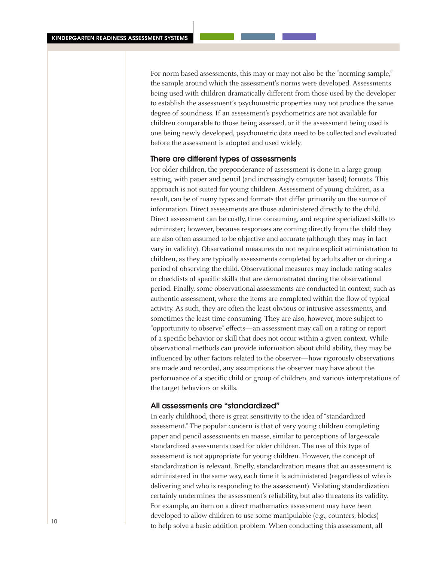For norm-based assessments, this may or may not also be the "norming sample," the sample around which the assessment's norms were developed. Assessments being used with children dramatically different from those used by the developer to establish the assessment's psychometric properties may not produce the same degree of soundness. If an assessment's psychometrics are not available for children comparable to those being assessed, or if the assessment being used is one being newly developed, psychometric data need to be collected and evaluated before the assessment is adopted and used widely.

#### There are different types of assessments

For older children, the preponderance of assessment is done in a large group setting, with paper and pencil (and increasingly computer based) formats. This approach is not suited for young children. Assessment of young children, as a result, can be of many types and formats that differ primarily on the source of information. Direct assessments are those administered directly to the child. Direct assessment can be costly, time consuming, and require specialized skills to administer; however, because responses are coming directly from the child they are also often assumed to be objective and accurate (although they may in fact vary in validity). Observational measures do not require explicit administration to children, as they are typically assessments completed by adults after or during a period of observing the child. Observational measures may include rating scales or checklists of specific skills that are demonstrated during the observational period. Finally, some observational assessments are conducted in context, such as authentic assessment, where the items are completed within the flow of typical activity. As such, they are often the least obvious or intrusive assessments, and sometimes the least time consuming. They are also, however, more subject to "opportunity to observe" effects—an assessment may call on a rating or report of a specific behavior or skill that does not occur within a given context. While observational methods can provide information about child ability, they may be influenced by other factors related to the observer—how rigorously observations are made and recorded, any assumptions the observer may have about the performance of a specific child or group of children, and various interpretations of the target behaviors or skills.

#### All assessments are "standardized"

In early childhood, there is great sensitivity to the idea of "standardized assessment." The popular concern is that of very young children completing paper and pencil assessments en masse, similar to perceptions of large-scale standardized assessments used for older children. The use of this type of assessment is not appropriate for young children. However, the concept of standardization is relevant. Briefly, standardization means that an assessment is administered in the same way, each time it is administered (regardless of who is delivering and who is responding to the assessment). Violating standardization certainly undermines the assessment's reliability, but also threatens its validity. For example, an item on a direct mathematics assessment may have been developed to allow children to use some manipulable (e.g., counters, blocks) to help solve a basic addition problem. When conducting this assessment, all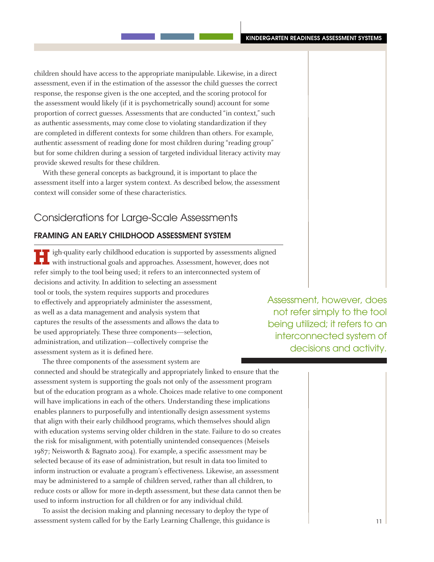children should have access to the appropriate manipulable. Likewise, in a direct assessment, even if in the estimation of the assessor the child guesses the correct response, the response given is the one accepted, and the scoring protocol for the assessment would likely (if it is psychometrically sound) account for some proportion of correct guesses. Assessments that are conducted "in context," such as authentic assessments, may come close to violating standardization if they are completed in different contexts for some children than others. For example, authentic assessment of reading done for most children during "reading group" but for some children during a session of targeted individual literacy activity may provide skewed results for these children.

With these general concepts as background, it is important to place the assessment itself into a larger system context. As described below, the assessment context will consider some of these characteristics.

# Considerations for Large-Scale Assessments

# Framing an Early Childhood Assessment System

**High-quality early childhood education is supported by assessments aligned** with instructional goals and approaches. Assessment, however, does not refer simply to the tool being used; it refers to an interconnected system of decisions and activity. In addition to selecting an assessment tool or tools, the system requires supports and procedures to effectively and appropriately administer the assessment, as well as a data management and analysis system that captures the results of the assessments and allows the data to be used appropriately. These three components—selection, administration, and utilization—collectively comprise the assessment system as it is defined here.

The three components of the assessment system are connected and should be strategically and appropriately linked to ensure that the assessment system is supporting the goals not only of the assessment program but of the education program as a whole. Choices made relative to one component will have implications in each of the others. Understanding these implications enables planners to purposefully and intentionally design assessment systems that align with their early childhood programs, which themselves should align with education systems serving older children in the state. Failure to do so creates the risk for misalignment, with potentially unintended consequences (Meisels 1987; Neisworth & Bagnato 2004). For example, a specific assessment may be selected because of its ease of administration, but result in data too limited to inform instruction or evaluate a program's effectiveness. Likewise, an assessment may be administered to a sample of children served, rather than all children, to reduce costs or allow for more in-depth assessment, but these data cannot then be used to inform instruction for all children or for any individual child.

To assist the decision making and planning necessary to deploy the type of assessment system called for by the Early Learning Challenge, this guidance is

Assessment, however, does not refer simply to the tool being utilized; it refers to an interconnected system of decisions and activity.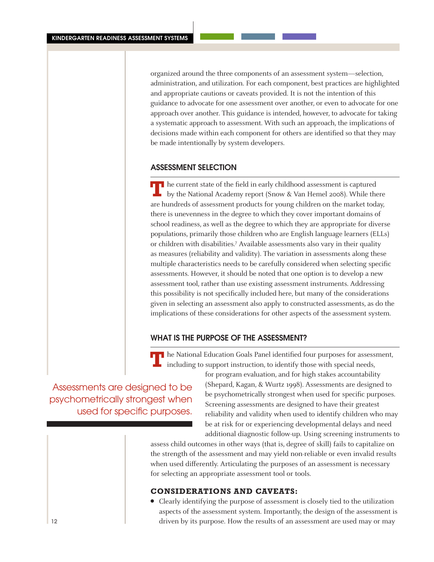organized around the three components of an assessment system—selection, administration, and utilization. For each component, best practices are highlighted and appropriate cautions or caveats provided. It is not the intention of this guidance to advocate for one assessment over another, or even to advocate for one approach over another. This guidance is intended, however, to advocate for taking a systematic approach to assessment. With such an approach, the implications of decisions made within each component for others are identified so that they may be made intentionally by system developers.

# Assessment Selection

**T** he current state of the field in early childhood assessment is captured by the National Academy report (Snow & Van Hemel 2008). While there are hundreds of assessment products for young children on the market today, there is unevenness in the degree to which they cover important domains of school readiness, as well as the degree to which they are appropriate for diverse populations, primarily those children who are English language learners (ELLs) or children with disabilities.7 Available assessments also vary in their quality as measures (reliability and validity). The variation in assessments along these multiple characteristics needs to be carefully considered when selecting specific assessments. However, it should be noted that one option is to develop a new assessment tool, rather than use existing assessment instruments. Addressing this possibility is not specifically included here, but many of the considerations given in selecting an assessment also apply to constructed assessments, as do the implications of these considerations for other aspects of the assessment system.

# What is the purpose of the assessment?

**T** he National Education Goals Panel identified four purposes for assessment, including to support instruction, to identify those with special needs,

Assessments are designed to be psychometrically strongest when used for specific purposes.

for program evaluation, and for high stakes accountability (Shepard, Kagan, & Wurtz 1998). Assessments are designed to be psychometrically strongest when used for specific purposes. Screening assessments are designed to have their greatest reliability and validity when used to identify children who may be at risk for or experiencing developmental delays and need additional diagnostic follow-up. Using screening instruments to

assess child outcomes in other ways (that is, degree of skill) fails to capitalize on the strength of the assessment and may yield non-reliable or even invalid results when used differently. Articulating the purposes of an assessment is necessary for selecting an appropriate assessment tool or tools.

# **Considerations and caveats:**

• Clearly identifying the purpose of assessment is closely tied to the utilization aspects of the assessment system. Importantly, the design of the assessment is driven by its purpose. How the results of an assessment are used may or may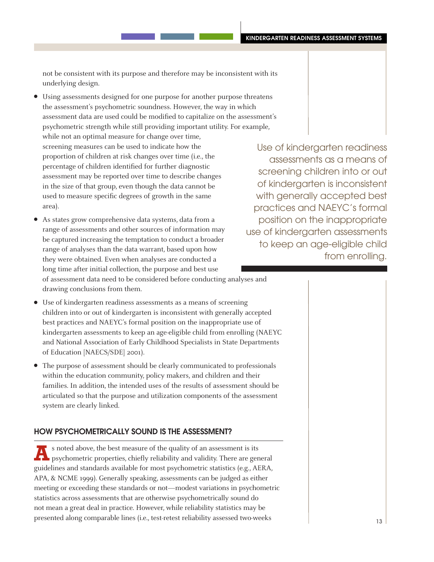not be consistent with its purpose and therefore may be inconsistent with its underlying design.

- Using assessments designed for one purpose for another purpose threatens the assessment's psychometric soundness. However, the way in which assessment data are used could be modified to capitalize on the assessment's psychometric strength while still providing important utility. For example, while not an optimal measure for change over time, screening measures can be used to indicate how the proportion of children at risk changes over time (i.e., the percentage of children identified for further diagnostic assessment may be reported over time to describe changes in the size of that group, even though the data cannot be used to measure specific degrees of growth in the same area).
- As states grow comprehensive data systems, data from a range of assessments and other sources of information may be captured increasing the temptation to conduct a broader range of analyses than the data warrant, based upon how they were obtained. Even when analyses are conducted a long time after initial collection, the purpose and best use of assessment data need to be considered before conducting analyses and drawing conclusions from them.

• Use of kindergarten readiness assessments as a means of screening children into or out of kindergarten is inconsistent with generally accepted best practices and NAEYC's formal position on the inappropriate use of kindergarten assessments to keep an age-eligible child from enrolling (NAEYC and National Association of Early Childhood Specialists in State Departments of Education [NAECS/SDE] 2001).

• The purpose of assessment should be clearly communicated to professionals within the education community, policy makers, and children and their families. In addition, the intended uses of the results of assessment should be articulated so that the purpose and utilization components of the assessment system are clearly linked.

# How psychometrically sound is the assessment?

**A**s noted above, the best measure of the quality of an assessment is its  $\blacksquare$  psychometric properties, chiefly reliability and validity. There are general guidelines and standards available for most psychometric statistics (e.g., AERA, APA, & NCME 1999). Generally speaking, assessments can be judged as either meeting or exceeding these standards or not—modest variations in psychometric statistics across assessments that are otherwise psychometrically sound do not mean a great deal in practice. However, while reliability statistics may be presented along comparable lines (i.e., test-retest reliability assessed two-weeks

Use of kindergarten readiness assessments as a means of screening children into or out of kindergarten is inconsistent with generally accepted best practices and NAEYC's formal position on the inappropriate use of kindergarten assessments to keep an age-eligible child from enrolling.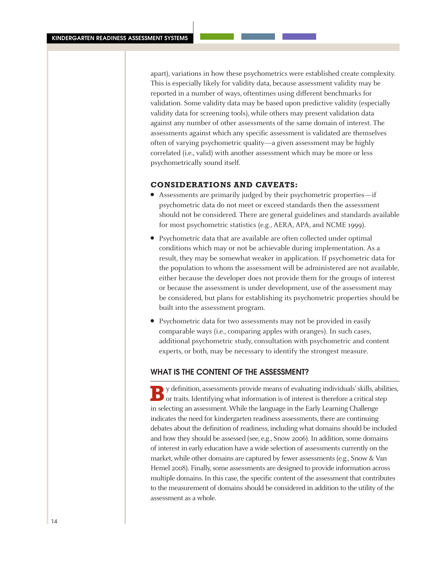apart), variations in how these psychometrics were established create complexity. This is especially likely for validity data, because assessment validity may be reported in a number of ways, oftentimes using different benchmarks for validation. Some validity data may be based upon predictive validity (especially validity data for screening tools), while others may present validation data against any number of other assessments of the same domain of interest. The assessments against which any specific assessment is validated are themselves often of varying psychometric quality—a given assessment may be highly correlated (i.e., valid) with another assessment which may be more or less psychometrically sound itself.

#### **Considerations and caveats:**

- <sup>l</sup> Assessments are primarily judged by their psychometric properties—if psychometric data do not meet or exceed standards then the assessment should not be considered. There are general guidelines and standards available for most psychometric statistics (e.g., AERA, APA, and NCME 1999).
- Psychometric data that are available are often collected under optimal conditions which may or not be achievable during implementation. As a result, they may be somewhat weaker in application. If psychometric data for the population to whom the assessment will be administered are not available, either because the developer does not provide them for the groups of interest or because the assessment is under development, use of the assessment may be considered, but plans for establishing its psychometric properties should be built into the assessment program.
- Psychometric data for two assessments may not be provided in easily comparable ways (i.e., comparing apples with oranges). In such cases, additional psychometric study, consultation with psychometric and content experts, or both, may be necessary to identify the strongest measure.

# WHAT IS THE CONTENT OF THE ASSESSMENT?

**B**y definition, assessments provide means of evaluating individuals' skills, abilities, or traits. Identifying what information is of interest is therefore a critical step in selecting an assessment. While the language in the Early Learning Challenge indicates the need for kindergarten readiness assessments, there are continuing debates about the definition of readiness, including what domains should be included and how they should be assessed (see, e.g., Snow 2006). In addition, some domains of interest in early education have a wide selection of assessments currently on the market, while other domains are captured by fewer assessments (e.g., Snow & Van Hemel 2008). Finally, some assessments are designed to provide information across multiple domains. In this case, the specific content of the assessment that contributes to the measurement of domains should be considered in addition to the utility of the assessment as a whole.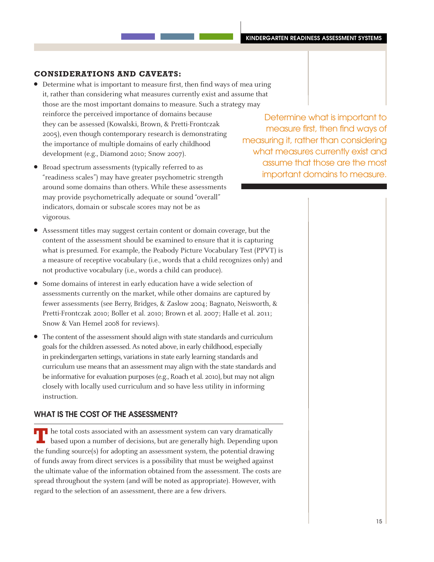# **Considerations and caveats:**

- Determine what is important to measure first, then find ways of mea uring it, rather than considering what measures currently exist and assume that those are the most important domains to measure. Such a strategy may reinforce the perceived importance of domains because they can be assessed (Kowalski, Brown, & Pretti-Frontczak 2005), even though contemporary research is demonstrating the importance of multiple domains of early childhood development (e.g., Diamond 2010; Snow 2007).
- Broad spectrum assessments (typically referred to as "readiness scales") may have greater psychometric strength around some domains than others. While these assessments may provide psychometrically adequate or sound "overall" indicators, domain or subscale scores may not be as vigorous.

Determine what is important to measure first, then find ways of measuring it, rather than considering what measures currently exist and assume that those are the most important domains to measure.

- <sup>l</sup> Assessment titles may suggest certain content or domain coverage, but the content of the assessment should be examined to ensure that it is capturing what is presumed. For example, the Peabody Picture Vocabulary Test (PPVT) is a measure of receptive vocabulary (i.e., words that a child recognizes only) and not productive vocabulary (i.e., words a child can produce).
- Some domains of interest in early education have a wide selection of assessments currently on the market, while other domains are captured by fewer assessments (see Berry, Bridges, & Zaslow 2004; Bagnato, Neisworth, & Pretti-Frontczak 2010; Boller et al. 2010; Brown et al. 2007; Halle et al. 2011; Snow & Van Hemel 2008 for reviews).
- The content of the assessment should align with state standards and curriculum goals for the children assessed. As noted above, in early childhood, especially in prekindergarten settings, variations in state early learning standards and curriculum use means that an assessment may align with the state standards and be informative for evaluation purposes (e.g., Roach et al. 2010), but may not align closely with locally used curriculum and so have less utility in informing instruction.

# WHAT IS THE COST OF THE ASSESSMENT?

**T** he total costs associated with an assessment system can vary dramatically based upon a number of decisions, but are generally high. Depending upon the funding source(s) for adopting an assessment system, the potential drawing of funds away from direct services is a possibility that must be weighed against the ultimate value of the information obtained from the assessment. The costs are spread throughout the system (and will be noted as appropriate). However, with regard to the selection of an assessment, there are a few drivers.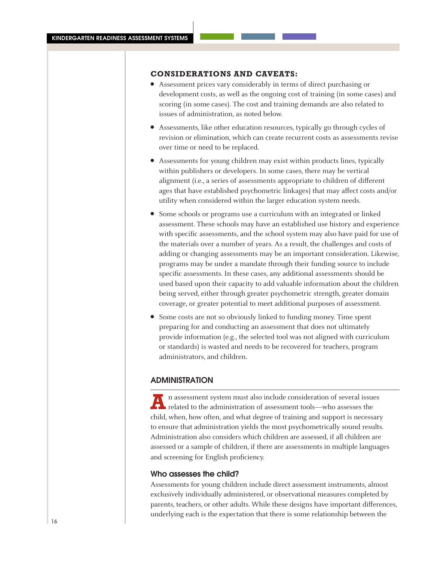# **Considerations and caveats:**

- Assessment prices vary considerably in terms of direct purchasing or development costs, as well as the ongoing cost of training (in some cases) and scoring (in some cases). The cost and training demands are also related to issues of administration, as noted below.
- Assessments, like other education resources, typically go through cycles of revision or elimination, which can create recurrent costs as assessments revise over time or need to be replaced.
- Assessments for young children may exist within products lines, typically within publishers or developers. In some cases, there may be vertical alignment (i.e., a series of assessments appropriate to children of different ages that have established psychometric linkages) that may affect costs and/or utility when considered within the larger education system needs.
- Some schools or programs use a curriculum with an integrated or linked assessment. These schools may have an established use history and experience with specific assessments, and the school system may also have paid for use of the materials over a number of years. As a result, the challenges and costs of adding or changing assessments may be an important consideration. Likewise, programs may be under a mandate through their funding source to include specific assessments. In these cases, any additional assessments should be used based upon their capacity to add valuable information about the children being served, either through greater psychometric strength, greater domain coverage, or greater potential to meet additional purposes of assessment.
- Some costs are not so obviously linked to funding money. Time spent preparing for and conducting an assessment that does not ultimately provide information (e.g., the selected tool was not aligned with curriculum or standards) is wasted and needs to be recovered for teachers, program administrators, and children.

#### **ADMINISTRATION**

**A**<br>**A** assessment system must also include consideration of several issues<br>related to the administration of assessment tools—who assesses the child, when, how often, and what degree of training and support is necessary to ensure that administration yields the most psychometrically sound results. Administration also considers which children are assessed, if all children are assessed or a sample of children, if there are assessments in multiple languages and screening for English proficiency.

#### Who assesses the child?

Assessments for young children include direct assessment instruments, almost exclusively individually administered, or observational measures completed by parents, teachers, or other adults. While these designs have important differences, underlying each is the expectation that there is some relationship between the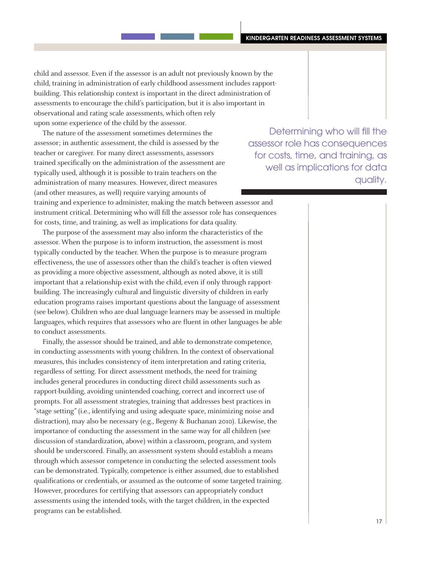child and assessor. Even if the assessor is an adult not previously known by the child, training in administration of early childhood assessment includes rapportbuilding. This relationship context is important in the direct administration of assessments to encourage the child's participation, but it is also important in observational and rating scale assessments, which often rely upon some experience of the child by the assessor.

The nature of the assessment sometimes determines the assessor; in authentic assessment, the child is assessed by the teacher or caregiver. For many direct assessments, assessors trained specifically on the administration of the assessment are typically used, although it is possible to train teachers on the administration of many measures. However, direct measures (and other measures, as well) require varying amounts of

Determining who will fill the assessor role has consequences for costs, time, and training, as well as implications for data quality.

training and experience to administer, making the match between assessor and instrument critical. Determining who will fill the assessor role has consequences for costs, time, and training, as well as implications for data quality.

The purpose of the assessment may also inform the characteristics of the assessor. When the purpose is to inform instruction, the assessment is most typically conducted by the teacher. When the purpose is to measure program effectiveness, the use of assessors other than the child's teacher is often viewed as providing a more objective assessment, although as noted above, it is still important that a relationship exist with the child, even if only through rapportbuilding. The increasingly cultural and linguistic diversity of children in early education programs raises important questions about the language of assessment (see below). Children who are dual language learners may be assessed in multiple languages, which requires that assessors who are fluent in other languages be able to conduct assessments.

Finally, the assessor should be trained, and able to demonstrate competence, in conducting assessments with young children. In the context of observational measures, this includes consistency of item interpretation and rating criteria, regardless of setting. For direct assessment methods, the need for training includes general procedures in conducting direct child assessments such as rapport-building, avoiding unintended coaching, correct and incorrect use of prompts. For all assessment strategies, training that addresses best practices in "stage setting" (i.e., identifying and using adequate space, minimizing noise and distraction), may also be necessary (e.g., Begeny & Buchanan 2010). Likewise, the importance of conducting the assessment in the same way for all children (see discussion of standardization, above) within a classroom, program, and system should be underscored. Finally, an assessment system should establish a means through which assessor competence in conducting the selected assessment tools can be demonstrated. Typically, competence is either assumed, due to established qualifications or credentials, or assumed as the outcome of some targeted training. However, procedures for certifying that assessors can appropriately conduct assessments using the intended tools, with the target children, in the expected programs can be established.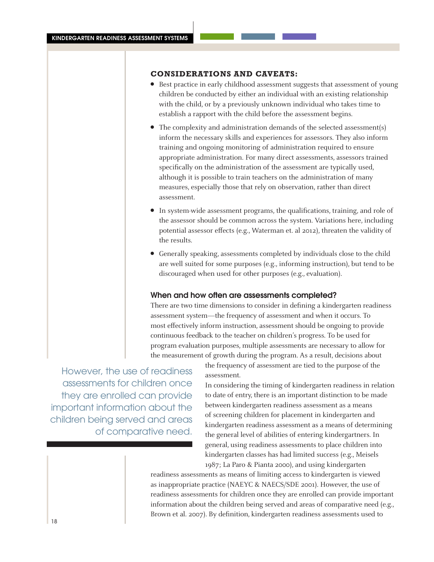# **Considerations and caveats:**

- **•** Best practice in early childhood assessment suggests that assessment of young children be conducted by either an individual with an existing relationship with the child, or by a previously unknown individual who takes time to establish a rapport with the child before the assessment begins.
- $\bullet$  The complexity and administration demands of the selected assessment(s) inform the necessary skills and experiences for assessors. They also inform training and ongoing monitoring of administration required to ensure appropriate administration. For many direct assessments, assessors trained specifically on the administration of the assessment are typically used, although it is possible to train teachers on the administration of many measures, especially those that rely on observation, rather than direct assessment.
- In system-wide assessment programs, the qualifications, training, and role of the assessor should be common across the system. Variations here, including potential assessor effects (e.g., Waterman et. al 2012), threaten the validity of the results.
- Generally speaking, assessments completed by individuals close to the child are well suited for some purposes (e.g., informing instruction), but tend to be discouraged when used for other purposes (e.g., evaluation).

#### When and how often are assessments completed?

There are two time dimensions to consider in defining a kindergarten readiness assessment system—the frequency of assessment and when it occurs. To most effectively inform instruction, assessment should be ongoing to provide continuous feedback to the teacher on children's progress. To be used for program evaluation purposes, multiple assessments are necessary to allow for the measurement of growth during the program. As a result, decisions about

However, the use of readiness assessments for children once they are enrolled can provide important information about the children being served and areas of comparative need.

the frequency of assessment are tied to the purpose of the assessment.

In considering the timing of kindergarten readiness in relation to date of entry, there is an important distinction to be made between kindergarten readiness assessment as a means of screening children for placement in kindergarten and kindergarten readiness assessment as a means of determining the general level of abilities of entering kindergartners. In general, using readiness assessments to place children into kindergarten classes has had limited success (e.g., Meisels 1987; La Paro & Pianta 2000), and using kindergarten

readiness assessments as means of limiting access to kindergarten is viewed as inappropriate practice (NAEYC & NAECS/SDE 2001). However, the use of readiness assessments for children once they are enrolled can provide important information about the children being served and areas of comparative need (e.g., Brown et al. 2007). By definition, kindergarten readiness assessments used to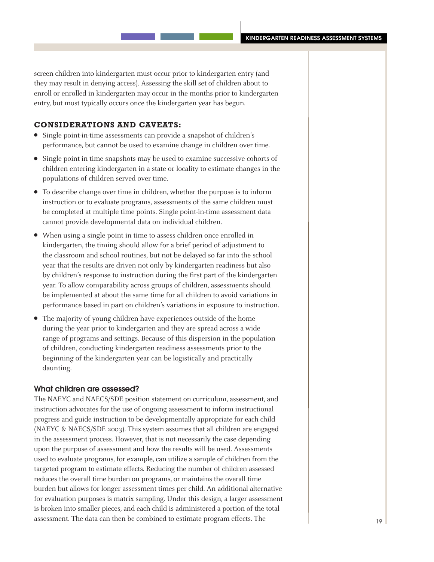screen children into kindergarten must occur prior to kindergarten entry (and they may result in denying access). Assessing the skill set of children about to enroll or enrolled in kindergarten may occur in the months prior to kindergarten entry, but most typically occurs once the kindergarten year has begun.

#### **Considerations and caveats:**

- Single point-in-time assessments can provide a snapshot of children's performance, but cannot be used to examine change in children over time.
- Single point-in-time snapshots may be used to examine successive cohorts of children entering kindergarten in a state or locality to estimate changes in the populations of children served over time.
- To describe change over time in children, whether the purpose is to inform instruction or to evaluate programs, assessments of the same children must be completed at multiple time points. Single point-in-time assessment data cannot provide developmental data on individual children.
- When using a single point in time to assess children once enrolled in kindergarten, the timing should allow for a brief period of adjustment to the classroom and school routines, but not be delayed so far into the school year that the results are driven not only by kindergarten readiness but also by children's response to instruction during the first part of the kindergarten year. To allow comparability across groups of children, assessments should be implemented at about the same time for all children to avoid variations in performance based in part on children's variations in exposure to instruction.
- The majority of young children have experiences outside of the home during the year prior to kindergarten and they are spread across a wide range of programs and settings. Because of this dispersion in the population of children, conducting kindergarten readiness assessments prior to the beginning of the kindergarten year can be logistically and practically daunting.

#### What children are assessed?

The NAEYC and NAECS/SDE position statement on curriculum, assessment, and instruction advocates for the use of ongoing assessment to inform instructional progress and guide instruction to be developmentally appropriate for each child (NAEYC & NAECS/SDE 2003). This system assumes that all children are engaged in the assessment process. However, that is not necessarily the case depending upon the purpose of assessment and how the results will be used. Assessments used to evaluate programs, for example, can utilize a sample of children from the targeted program to estimate effects. Reducing the number of children assessed reduces the overall time burden on programs, or maintains the overall time burden but allows for longer assessment times per child. An additional alternative for evaluation purposes is matrix sampling. Under this design, a larger assessment is broken into smaller pieces, and each child is administered a portion of the total assessment. The data can then be combined to estimate program effects. The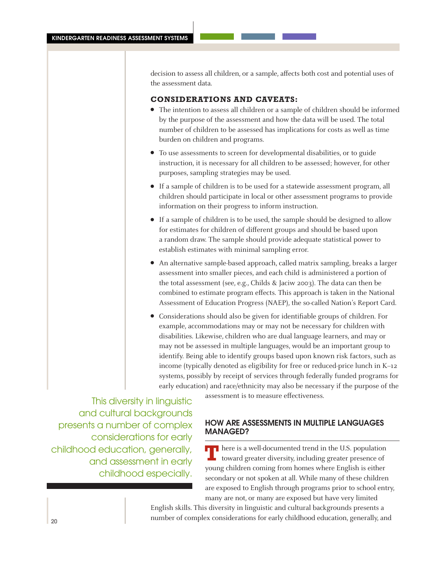decision to assess all children, or a sample, affects both cost and potential uses of the assessment data.

#### **Considerations and caveats:**

- The intention to assess all children or a sample of children should be informed by the purpose of the assessment and how the data will be used. The total number of children to be assessed has implications for costs as well as time burden on children and programs.
- To use assessments to screen for developmental disabilities, or to guide instruction, it is necessary for all children to be assessed; however, for other purposes, sampling strategies may be used.
- **.** If a sample of children is to be used for a statewide assessment program, all children should participate in local or other assessment programs to provide information on their progress to inform instruction.
- If a sample of children is to be used, the sample should be designed to allow for estimates for children of different groups and should be based upon a random draw. The sample should provide adequate statistical power to establish estimates with minimal sampling error.
- An alternative sample-based approach, called matrix sampling, breaks a larger assessment into smaller pieces, and each child is administered a portion of the total assessment (see, e.g., Childs & Jaciw 2003). The data can then be combined to estimate program effects. This approach is taken in the National Assessment of Education Progress (NAEP), the so-called Nation's Report Card.
- Considerations should also be given for identifiable groups of children. For example, accommodations may or may not be necessary for children with disabilities. Likewise, children who are dual language learners, and may or may not be assessed in multiple languages, would be an important group to identify. Being able to identify groups based upon known risk factors, such as income (typically denoted as eligibility for free or reduced-price lunch in K–12 systems, possibly by receipt of services through federally funded programs for early education) and race/ethnicity may also be necessary if the purpose of the

This diversity in linguistic and cultural backgrounds presents a number of complex considerations for early childhood education, generally, and assessment in early childhood especially.

assessment is to measure effectiveness.

# How are assessments in multiple languages MANAGED?

**There is a well-documented trend in the U.S. population** toward greater diversity, including greater presence of young children coming from homes where English is either secondary or not spoken at all. While many of these children are exposed to English through programs prior to school entry, many are not, or many are exposed but have very limited

English skills. This diversity in linguistic and cultural backgrounds presents a number of complex considerations for early childhood education, generally, and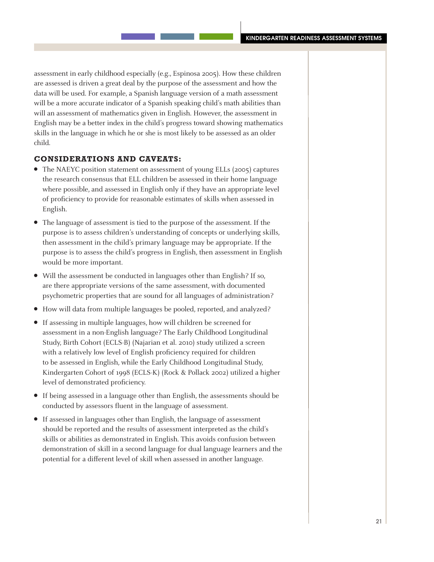assessment in early childhood especially (e.g., Espinosa 2005). How these children are assessed is driven a great deal by the purpose of the assessment and how the data will be used. For example, a Spanish language version of a math assessment will be a more accurate indicator of a Spanish speaking child's math abilities than will an assessment of mathematics given in English. However, the assessment in English may be a better index in the child's progress toward showing mathematics skills in the language in which he or she is most likely to be assessed as an older child.

#### **Considerations and caveats:**

- The NAEYC position statement on assessment of young ELLs (2005) captures the research consensus that ELL children be assessed in their home language where possible, and assessed in English only if they have an appropriate level of proficiency to provide for reasonable estimates of skills when assessed in English.
- The language of assessment is tied to the purpose of the assessment. If the purpose is to assess children's understanding of concepts or underlying skills, then assessment in the child's primary language may be appropriate. If the purpose is to assess the child's progress in English, then assessment in English would be more important.
- Will the assessment be conducted in languages other than English? If so, are there appropriate versions of the same assessment, with documented psychometric properties that are sound for all languages of administration?
- How will data from multiple languages be pooled, reported, and analyzed?
- If assessing in multiple languages, how will children be screened for assessment in a non-English language? The Early Childhood Longitudinal Study, Birth Cohort (ECLS-B) (Najarian et al. 2010) study utilized a screen with a relatively low level of English proficiency required for children to be assessed in English, while the Early Childhood Longitudinal Study, Kindergarten Cohort of 1998 (ECLS-K) (Rock & Pollack 2002) utilized a higher level of demonstrated proficiency.
- If being assessed in a language other than English, the assessments should be conducted by assessors fluent in the language of assessment.
- If assessed in languages other than English, the language of assessment should be reported and the results of assessment interpreted as the child's skills or abilities as demonstrated in English. This avoids confusion between demonstration of skill in a second language for dual language learners and the potential for a different level of skill when assessed in another language.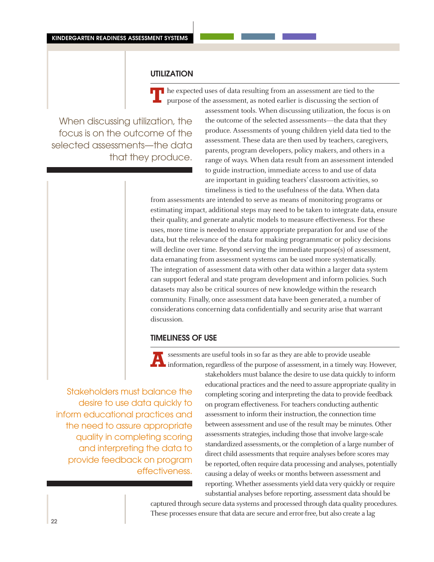# **UTILIZATION**

**T** he expected uses of data resulting from an assessment are tied to the purpose of the assessment, as noted earlier is discussing the section of

When discussing utilization, the focus is on the outcome of the selected assessments—the data that they produce. assessment tools. When discussing utilization, the focus is on the outcome of the selected assessments—the data that they produce. Assessments of young children yield data tied to the assessment. These data are then used by teachers, caregivers, parents, program developers, policy makers, and others in a range of ways. When data result from an assessment intended to guide instruction, immediate access to and use of data are important in guiding teachers' classroom activities, so timeliness is tied to the usefulness of the data. When data

from assessments are intended to serve as means of monitoring programs or estimating impact, additional steps may need to be taken to integrate data, ensure their quality, and generate analytic models to measure effectiveness. For these uses, more time is needed to ensure appropriate preparation for and use of the data, but the relevance of the data for making programmatic or policy decisions will decline over time. Beyond serving the immediate purpose(s) of assessment, data emanating from assessment systems can be used more systematically. The integration of assessment data with other data within a larger data system can support federal and state program development and inform policies. Such datasets may also be critical sources of new knowledge within the research community. Finally, once assessment data have been generated, a number of considerations concerning data confidentially and security arise that warrant discussion.

## Timeliness of use

Stakeholders must balance the desire to use data quickly to inform educational practices and the need to assure appropriate quality in completing scoring and interpreting the data to provide feedback on program effectiveness.

**A**ssessments are useful tools in so far as they are able to provide useable information, regardless of the purpose of assessment, in a timely way. However, stakeholders must balance the desire to use data quickly to inform educational practices and the need to assure appropriate quality in completing scoring and interpreting the data to provide feedback on program effectiveness. For teachers conducting authentic assessment to inform their instruction, the connection time between assessment and use of the result may be minutes. Other assessments strategies, including those that involve large-scale standardized assessments, or the completion of a large number of direct child assessments that require analyses before scores may be reported, often require data processing and analyses, potentially causing a delay of weeks or months between assessment and reporting. Whether assessments yield data very quickly or require substantial analyses before reporting, assessment data should be

captured through secure data systems and processed through data quality procedures. These processes ensure that data are secure and error-free, but also create a lag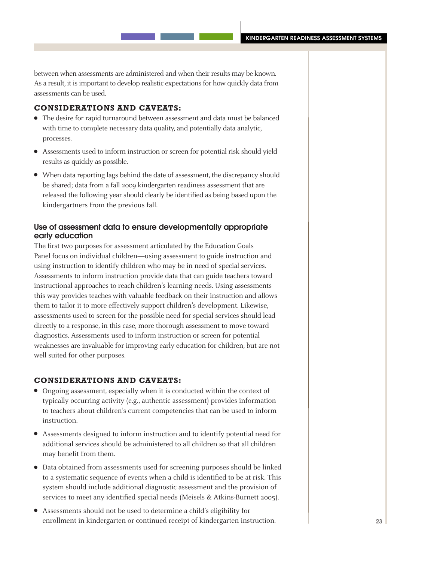between when assessments are administered and when their results may be known. As a result, it is important to develop realistic expectations for how quickly data from assessments can be used.

#### **Considerations and caveats:**

- The desire for rapid turnaround between assessment and data must be balanced with time to complete necessary data quality, and potentially data analytic, processes.
- <sup>l</sup> Assessments used to inform instruction or screen for potential risk should yield results as quickly as possible.
- When data reporting lags behind the date of assessment, the discrepancy should be shared; data from a fall 2009 kindergarten readiness assessment that are released the following year should clearly be identified as being based upon the kindergartners from the previous fall.

# Use of assessment data to ensure developmentally appropriate early education

The first two purposes for assessment articulated by the Education Goals Panel focus on individual children—using assessment to guide instruction and using instruction to identify children who may be in need of special services. Assessments to inform instruction provide data that can guide teachers toward instructional approaches to reach children's learning needs. Using assessments this way provides teaches with valuable feedback on their instruction and allows them to tailor it to more effectively support children's development. Likewise, assessments used to screen for the possible need for special services should lead directly to a response, in this case, more thorough assessment to move toward diagnostics. Assessments used to inform instruction or screen for potential weaknesses are invaluable for improving early education for children, but are not well suited for other purposes.

#### **Considerations and caveats:**

- Ongoing assessment, especially when it is conducted within the context of typically occurring activity (e.g., authentic assessment) provides information to teachers about children's current competencies that can be used to inform instruction.
- Assessments designed to inform instruction and to identify potential need for additional services should be administered to all children so that all children may benefit from them.
- Data obtained from assessments used for screening purposes should be linked to a systematic sequence of events when a child is identified to be at risk. This system should include additional diagnostic assessment and the provision of services to meet any identified special needs (Meisels & Atkins-Burnett 2005).
- <sup>l</sup> Assessments should not be used to determine a child's eligibility for enrollment in kindergarten or continued receipt of kindergarten instruction.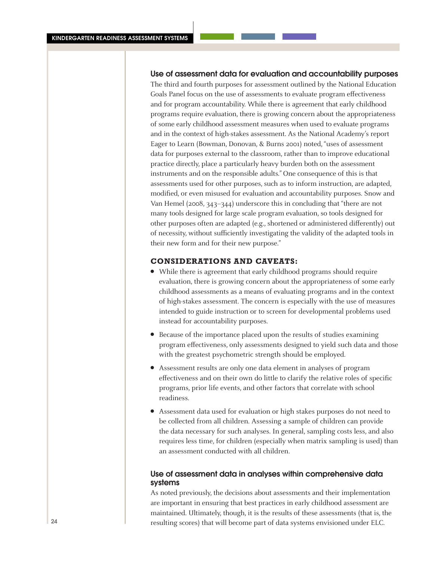#### Use of assessment data for evaluation and accountability purposes

The third and fourth purposes for assessment outlined by the National Education Goals Panel focus on the use of assessments to evaluate program effectiveness and for program accountability. While there is agreement that early childhood programs require evaluation, there is growing concern about the appropriateness of some early childhood assessment measures when used to evaluate programs and in the context of high-stakes assessment. As the National Academy's report Eager to Learn (Bowman, Donovan, & Burns 2001) noted, "uses of assessment data for purposes external to the classroom, rather than to improve educational practice directly, place a particularly heavy burden both on the assessment instruments and on the responsible adults." One consequence of this is that assessments used for other purposes, such as to inform instruction, are adapted, modified, or even misused for evaluation and accountability purposes. Snow and Van Hemel (2008, 343–344) underscore this in concluding that "there are not many tools designed for large scale program evaluation, so tools designed for other purposes often are adapted (e.g., shortened or administered differently) out of necessity, without sufficiently investigating the validity of the adapted tools in their new form and for their new purpose."

# **Considerations and caveats:**

- While there is agreement that early childhood programs should require evaluation, there is growing concern about the appropriateness of some early childhood assessments as a means of evaluating programs and in the context of high-stakes assessment. The concern is especially with the use of measures intended to guide instruction or to screen for developmental problems used instead for accountability purposes.
- Because of the importance placed upon the results of studies examining program effectiveness, only assessments designed to yield such data and those with the greatest psychometric strength should be employed.
- <sup>l</sup> Assessment results are only one data element in analyses of program effectiveness and on their own do little to clarify the relative roles of specific programs, prior life events, and other factors that correlate with school readiness.
- <sup>l</sup> Assessment data used for evaluation or high stakes purposes do not need to be collected from all children. Assessing a sample of children can provide the data necessary for such analyses. In general, sampling costs less, and also requires less time, for children (especially when matrix sampling is used) than an assessment conducted with all children.

#### Use of assessment data in analyses within comprehensive data systems

As noted previously, the decisions about assessments and their implementation are important in ensuring that best practices in early childhood assessment are maintained. Ultimately, though, it is the results of these assessments (that is, the resulting scores) that will become part of data systems envisioned under ELC.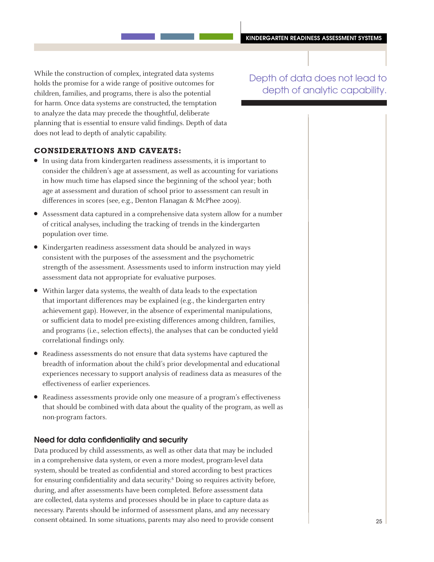While the construction of complex, integrated data systems holds the promise for a wide range of positive outcomes for children, families, and programs, there is also the potential for harm. Once data systems are constructed, the temptation to analyze the data may precede the thoughtful, deliberate planning that is essential to ensure valid findings. Depth of data does not lead to depth of analytic capability.

Depth of data does not lead to depth of analytic capability.

### **Considerations and caveats:**

- In using data from kindergarten readiness assessments, it is important to consider the children's age at assessment, as well as accounting for variations in how much time has elapsed since the beginning of the school year; both age at assessment and duration of school prior to assessment can result in differences in scores (see, e.g., Denton Flanagan & McPhee 2009).
- Assessment data captured in a comprehensive data system allow for a number of critical analyses, including the tracking of trends in the kindergarten population over time.
- Kindergarten readiness assessment data should be analyzed in ways consistent with the purposes of the assessment and the psychometric strength of the assessment. Assessments used to inform instruction may yield assessment data not appropriate for evaluative purposes.
- Within larger data systems, the wealth of data leads to the expectation that important differences may be explained (e.g., the kindergarten entry achievement gap). However, in the absence of experimental manipulations, or sufficient data to model pre-existing differences among children, families, and programs (i.e., selection effects), the analyses that can be conducted yield correlational findings only.
- Readiness assessments do not ensure that data systems have captured the breadth of information about the child's prior developmental and educational experiences necessary to support analysis of readiness data as measures of the effectiveness of earlier experiences.
- Readiness assessments provide only one measure of a program's effectiveness that should be combined with data about the quality of the program, as well as non-program factors.

#### Need for data confidentiality and security

Data produced by child assessments, as well as other data that may be included in a comprehensive data system, or even a more modest, program-level data system, should be treated as confidential and stored according to best practices for ensuring confidentiality and data security.8 Doing so requires activity before, during, and after assessments have been completed. Before assessment data are collected, data systems and processes should be in place to capture data as necessary. Parents should be informed of assessment plans, and any necessary consent obtained. In some situations, parents may also need to provide consent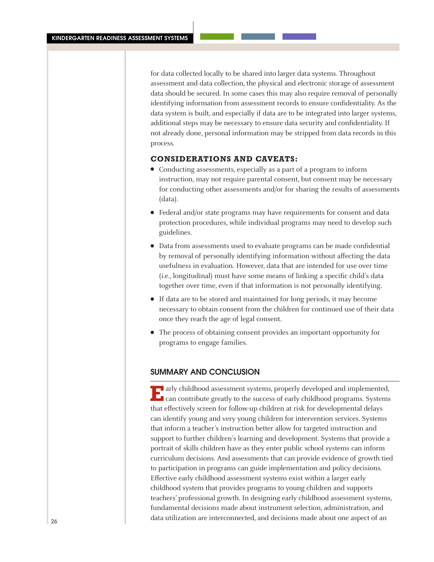for data collected locally to be shared into larger data systems. Throughout assessment and data collection, the physical and electronic storage of assessment data should be secured. In some cases this may also require removal of personally identifying information from assessment records to ensure confidentiality. As the data system is built, and especially if data are to be integrated into larger systems, additional steps may be necessary to ensure data security and confidentiality. If not already done, personal information may be stripped from data records in this process.

#### **Considerations and caveats:**

- Conducting assessments, especially as a part of a program to inform instruction, may not require parental consent, but consent may be necessary for conducting other assessments and/or for sharing the results of assessments (data).
- Federal and/or state programs may have requirements for consent and data protection procedures, while individual programs may need to develop such guidelines.
- Data from assessments used to evaluate programs can be made confidential by removal of personally identifying information without affecting the data usefulness in evaluation. However, data that are intended for use over time (i.e., longitudinal) must have some means of linking a specific child's data together over time, even if that information is not personally identifying.
- If data are to be stored and maintained for long periods, it may become necessary to obtain consent from the children for continued use of their data once they reach the age of legal consent.
- The process of obtaining consent provides an important opportunity for programs to engage families.

# Summary and Conclusion

**E**arly childhood assessment systems, properly developed and implemented, can contribute greatly to the success of early childhood programs. Systems that effectively screen for follow-up children at risk for developmental delays can identify young and very young children for intervention services. Systems that inform a teacher's instruction better allow for targeted instruction and support to further children's learning and development. Systems that provide a portrait of skills children have as they enter public school systems can inform curriculum decisions. And assessments that can provide evidence of growth tied to participation in programs can guide implementation and policy decisions. Effective early childhood assessment systems exist within a larger early childhood system that provides programs to young children and supports teachers' professional growth. In designing early childhood assessment systems, fundamental decisions made about instrument selection, administration, and data utilization are interconnected, and decisions made about one aspect of an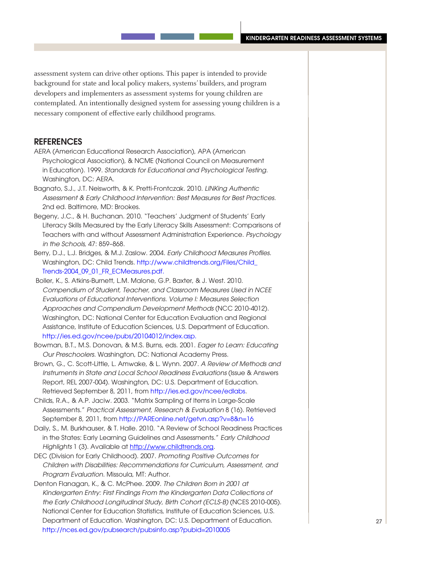assessment system can drive other options. This paper is intended to provide background for state and local policy makers, systems' builders, and program developers and implementers as assessment systems for young children are contemplated. An intentionally designed system for assessing young children is a necessary component of effective early childhood programs.

# **REFERENCES**

- AERA (American Educational Research Association), APA (American Psychological Association), & NCME (National Council on Measurement in Education). 1999. *Standards for Educational and Psychological Testing.* Washington, DC: AERA.
- Bagnato, S.J., J.T. Neisworth, & K. Pretti-Frontczak. 2010. *LINKing Authentic Assessment & Early Childhood Intervention: Best Measures for Best Practices.* 2nd ed. Baltimore, MD: Brookes.
- Begeny, J.C., & H. Buchanan. 2010. "Teachers' Judgment of Students' Early Literacy Skills Measured by the Early Literacy Skills Assessment: Comparisons of Teachers with and without Assessment Administration Experience. *Psychology in the Schools,* 47: 859–868.
- Berry, D.J., L.J. Bridges, & M.J. Zaslow. 2004. Early Childhood Measures Profiles. Washington, DC: Child Trends. [http://www.childtrends.org/Files/Child\\_](http://www.childtrends.org/Files/Child_Trends-2004_09_01_FR_ECMeasures.pdf) [Trends-2004\\_09\\_01\\_FR\\_ECMeasures.pdf](http://www.childtrends.org/Files/Child_Trends-2004_09_01_FR_ECMeasures.pdf).
- Boller, K., S. Atkins-Burnett, L.M. Malone, G.P. Baxter, & J. West. 2010. *Compendium of Student, Teacher, and Classroom Measures Used in NCEE Evaluations of Educational Interventions. Volume I: Measures Selection Approaches and Compendium Development Methods* (NCC 2010-4012). Washington, DC: National Center for Education Evaluation and Regional Assistance, Institute of Education Sciences, U.S. Department of Education. [http://ies.ed.gov/ncee/pubs/20104012/index.asp.](http://ies.ed.gov/ncee/pubs/20104012/index.asp)
- Bowman, B.T., M.S. Donovan, & M.S. Burns, eds. 2001. *Eager to Learn: Educating Our Preschoolers.* Washington, DC: National Academy Press.
- Brown, G., C. Scott-Little, L. Amwake, & L. Wynn. 2007. *A Review of Methods and Instruments in State and Local School Readiness Evaluations* (Issue & Answers Report, REL 2007-004). Washington, DC: U.S. Department of Education. Retrieved September 8, 2011, from<http://ies.ed.gov/ncee/edlabs>.
- Childs, R.A., & A.P. Jaciw. 2003. "Matrix Sampling of Items in Large-Scale Assessments." *Practical Assessment, Research & Evaluation* 8 (16). Retrieved September 8, 2011, from [http://PAREonline.net/getvn.asp?v=8&n=16](http://pareonline.net/getvn.asp?v=8&n=16)
- Daily, S., M. Burkhauser, & T. Halle. 2010. "A Review of School Readiness Practices in the States: Early Learning Guidelines and Assessments." *Early Childhood Highlights* 1 (3). Available at<http://www.childtrends.org>.
- DEC (Division for Early Childhood). 2007. *Promoting Positive Outcomes for Children with Disabilities: Recommendations for Curriculum, Assessment, and Program Evaluation.* Missoula, MT: Author.
- Denton Flanagan, K., & C. McPhee. 2009. *The Children Born in 2001 at Kindergarten Entry: First Findings From the Kindergarten Data Collections of the Early Childhood Longitudinal Study, Birth Cohort (ECLS-B)* (NCES 2010-005). National Center for Education Statistics, Institute of Education Sciences, U.S. Department of Education. Washington, DC: U.S. Department of Education. <http://nces.ed.gov/pubsearch/pubsinfo.asp?pubid=2010005>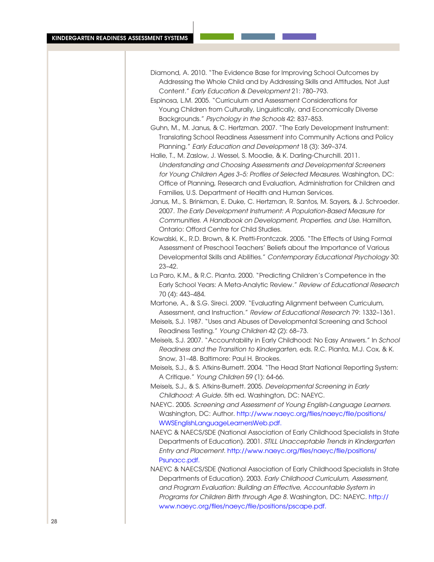| Diamond, A. 2010. "The Evidence Base for Improving School Outcomes by       |
|-----------------------------------------------------------------------------|
| Addressing the Whole Child and by Addressing Skills and Attitudes, Not Just |
| Content." Early Education & Development 21: 780–793.                        |

- Espinosa, L.M. 2005. "Curriculum and Assessment Considerations for Young Children from Culturally, Linguistically, and Economically Diverse Backgrounds." *Psychology in the Schools* 42: 837–853.
- Guhn, M., M. Janus, & C. Hertzman. 2007. "The Early Development Instrument: Translating School Readiness Assessment into Community Actions and Policy Planning." *Early Education and Development* 18 (3): 369–374.
- Halle, T., M. Zaslow, J. Wessel, S. Moodie, & K. Darling-Churchill. 2011. *Understanding and Choosing Assessments and Developmental Screeners*  for Young Children Ages 3–5: Profiles of Selected Measures. Washington, DC: Office of Planning, Research and Evaluation, Administration for Children and Families, U.S. Department of Health and Human Services.
- Janus, M., S. Brinkman, E. Duke, C. Hertzman, R. Santos, M. Sayers, & J. Schroeder. 2007. *The Early Development Instrument: A Population-Based Measure for Communities. A Handbook on Development, Properties, and Use.* Hamilton, Ontario: Offord Centre for Child Studies.
- Kowalski, K., R.D. Brown, & K. Pretti-Frontczak. 2005. "The Effects of Using Formal Assessment of Preschool Teachers' Beliefs about the Importance of Various Developmental Skills and Abilities." *Contemporary Educational Psychology* 30: 23–42.
- La Paro, K.M., & R.C. Pianta. 2000. "Predicting Children's Competence in the Early School Years: A Meta-Analytic Review." *Review of Educational Research* 70 (4): 443–484.
- Martone, A., & S.G. Sireci. 2009. "Evaluating Alignment between Curriculum, Assessment, and Instruction." *Review of Educational Research* 79: 1332–1361.
- Meisels, S.J. 1987. "Uses and Abuses of Developmental Screening and School Readiness Testing." *Young Children* 42 (2): 68–73.
- Meisels, S.J. 2007. "Accountability in Early Childhood: No Easy Answers." In *School Readiness and the Transition to Kindergarten,* eds. R.C. Pianta, M.J. Cox, & K. Snow, 31–48. Baltimore: Paul H. Brookes.
- Meisels, S.J., & S. Atkins-Burnett. 2004. "The Head Start National Reporting System: A Critique." *Young Children* 59 (1): 64-66.
- Meisels, S.J., & S. Atkins-Burnett. 2005. *Developmental Screening in Early Childhood: A Guide.* 5th ed. Washington, DC: NAEYC.
- NAEYC. 2005. *Screening and Assessment of Young English-Language Learners.* Washington, DC: Author. [http://www.naeyc.org/files/naeyc/file/positions/](http://www.naeyc.org/files/naeyc/file/positions/WWSEnglishLanguageLearnersWeb.pdf) [WWSEnglishLanguageLearnersWeb.pdf](http://www.naeyc.org/files/naeyc/file/positions/WWSEnglishLanguageLearnersWeb.pdf).
- NAEYC & NAECS/SDE (National Association of Early Childhood Specialists in State Departments of Education). 2001. *STILL Unacceptable Trends in Kindergarten Entry and Placement.* [http://www.naeyc.org/files/naeyc/file/positions/](http://www.naeyc.org/files/naeyc/file/positions/Psunacc.pdf) [Psunacc.pdf.](http://www.naeyc.org/files/naeyc/file/positions/Psunacc.pdf)
- NAEYC & NAECS/SDE (National Association of Early Childhood Specialists in State Departments of Education). 2003. *Early Childhood Curriculum, Assessment,*  and Program Evaluation: Building an Effective, Accountable System in *Programs for Children Birth through Age 8.* Washington, DC: NAEYC. [http://](http://www.naeyc.org/files/naeyc/file/positions/pscape.pdf) [www.naeyc.org/files/naeyc/file/positions/pscape.pdf](http://www.naeyc.org/files/naeyc/file/positions/pscape.pdf).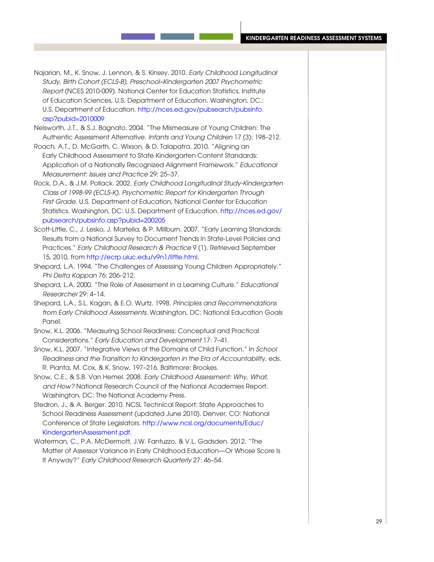#### kindergarten readiness assessment systems

- Najarian, M., K. Snow, J. Lennon, & S. Kinsey. 2010. *Early Childhood Longitudinal Study, Birth Cohort (ECLS-B), Preschool–Kindergarten 2007 Psychometric Report* (NCES 2010-009). National Center for Education Statistics, Institute of Education Sciences, U.S. Department of Education. Washington, DC.: U.S. Department of Education. [http://nces.ed.gov/pubsearch/pubsinfo.](http://nces.ed.gov/pubsearch/pubsinfo.asp?pubid=2010009) [asp?pubid=2010009](http://nces.ed.gov/pubsearch/pubsinfo.asp?pubid=2010009)
- Neisworth, J.T., & S.J. Bagnato. 2004. "The Mismeasure of Young Children: The Authentic Assessment Alternative. *Infants and Young Children* 17 (3): 198–212.
- Roach, A.T., D. McGarth, C. Wixson, & D. Talapatra. 2010. "Aligning an Early Childhood Assessment to State Kindergarten Content Standards: Application of a Nationally Recognized Alignment Framework." *Educational Measurement: Issues and Practice* 29: 25–37.
- Rock, D.A., & J.M. Pollack. 2002. *Early Childhood Longitudinal Study-Kindergarten Class of 1998-99 (ECLS-K), Psychometric Report for Kindergarten Through First Grade.* U.S. Department of Education, National Center for Education Statistics. Washington, DC: U.S. Department of Education. [http://nces.ed.gov/](http://nces.ed.gov/pubsearch/pubsinfo.asp?pubid=200205) [pubsearch/pubsinfo.asp?pubid=200205](http://nces.ed.gov/pubsearch/pubsinfo.asp?pubid=200205)
- Scott-Little, C., J. Lesko, J. Martella, & P. Millburn. 2007. "Early Learning Standards: Results from a National Survey to Document Trends in State-Level Policies and Practices." *Early Childhood Research & Practice* 9 (1). Retrieved September 15, 2010, from [http://ecrp.uiuc.edu/v9n1/little.html.](http://ecrp.uiuc.edu/v9n1/little.html)
- Shepard, L.A. 1994. "The Challenges of Assessing Young Children Appropriately." *Phi Delta Kappan* 76: 206–212.
- Shepard, L.A. 2000. "The Role of Assessment in a Learning Culture." *Educational Researcher* 29: 4–14.
- Shepard, L.A., S.L. Kagan, & E.O. Wurtz. 1998. *Principles and Recommendations from Early Childhood Assessments.* Washington, DC: National Education Goals Panel.
- Snow, K.L. 2006. "Measuring School Readiness: Conceptual and Practical Considerations." *Early Education and Development* 17: 7–41.
- Snow, K.L. 2007. "Integrative Views of the Domains of Child Function." In *School Readiness and the Transition to Kindergarten in the Era of Accountability,* eds. R. Pianta, M. Cox, & K. Snow, 197–216. Baltimore: Brookes.
- Snow, C.E., & S.B. Van Hemel. 2008. *Early Childhood Assessment: Why, What, and How?* National Research Council of the National Academies Report. Washington, DC: The National Academy Press.
- Stedron, J., & A. Berger. 2010. NCSL Technical Report: State Approaches to School Readiness Assessment (updated June 2010). Denver, CO: National Conference of State Legislators. [http://www.ncsl.org/documents/Educ/](http://www.ncsl.org/documents/Educ/KindergartenAssessment.pdf) [KindergartenAssessment.pdf.](http://www.ncsl.org/documents/Educ/KindergartenAssessment.pdf)
- Waterman, C., P.A. McDermott, J.W. Fantuzzo, & V.L. Gadsden. 2012. "The Matter of Assessor Variance in Early Childhood Education—Or Whose Score Is It Anyway?" *Early Childhood Research Quarterly* 27: 46–54.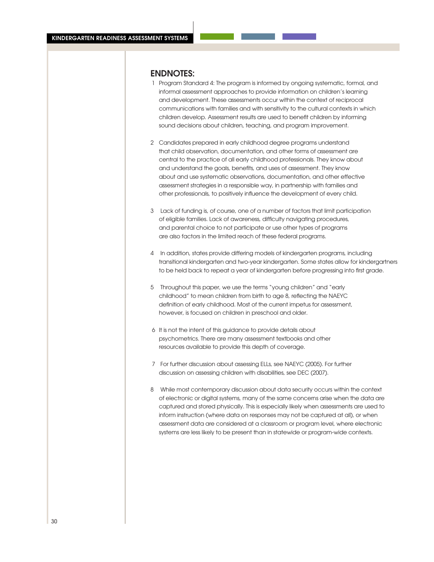# Endnotes:

- 1 Program Standard 4: The program is informed by ongoing systematic, formal, and informal assessment approaches to provide information on children's learning and development. These assessments occur within the context of reciprocal communications with families and with sensitivity to the cultural contexts in which children develop. Assessment results are used to benefit children by informing sound decisions about children, teaching, and program improvement.
- 2 Candidates prepared in early childhood degree programs understand that child observation, documentation, and other forms of assessment are central to the practice of all early childhood professionals. They know about and understand the goals, benefits, and uses of assessment. They know about and use systematic observations, documentation, and other effective assessment strategies in a responsible way, in partnership with families and other professionals, to positively influence the development of every child.
- 3 Lack of funding is, of course, one of a number of factors that limit participation of eligible families. Lack of awareness, difficulty navigating procedures, and parental choice to not participate or use other types of programs are also factors in the limited reach of these federal programs.
- 4 In addition, states provide differing models of kindergarten programs, including transitional kindergarten and two-year kindergarten. Some states allow for kindergartners to be held back to repeat a year of kindergarten before progressing into first grade.
- 5 Throughout this paper, we use the terms "young children" and "early childhood" to mean children from birth to age 8, reflecting the NAEYC definition of early childhood. Most of the current impetus for assessment, however, is focused on children in preschool and older.
- 6 It is not the intent of this guidance to provide details about psychometrics. There are many assessment textbooks and other resources available to provide this depth of coverage.
- 7 For further discussion about assessing ELLs, see NAEYC (2005). For further discussion on assessing children with disabilities, see DEC (2007).
- 8 While most contemporary discussion about data security occurs within the context of electronic or digital systems, many of the same concerns arise when the data are captured and stored physically. This is especially likely when assessments are used to inform instruction (where data on responses may not be captured at all), or when assessment data are considered at a classroom or program level, where electronic systems are less likely to be present than in statewide or program-wide contexts.